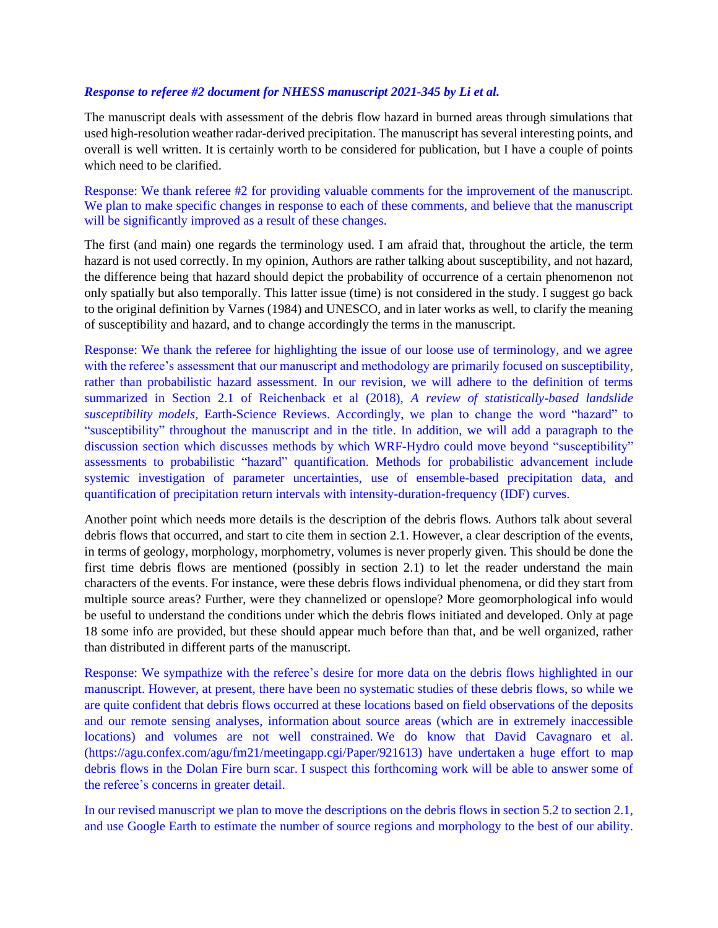## *Response to referee #2 document for NHESS manuscript 2021-345 by Li et al.*

The manuscript deals with assessment of the debris flow hazard in burned areas through simulations that used high-resolution weather radar-derived precipitation. The manuscript has several interesting points, and overall is well written. It is certainly worth to be considered for publication, but I have a couple of points which need to be clarified.

Response: We thank referee #2 for providing valuable comments for the improvement of the manuscript. We plan to make specific changes in response to each of these comments, and believe that the manuscript will be significantly improved as a result of these changes.

The first (and main) one regards the terminology used. I am afraid that, throughout the article, the term hazard is not used correctly. In my opinion, Authors are rather talking about susceptibility, and not hazard, the difference being that hazard should depict the probability of occurrence of a certain phenomenon not only spatially but also temporally. This latter issue (time) is not considered in the study. I suggest go back to the original definition by Varnes (1984) and UNESCO, and in later works as well, to clarify the meaning of susceptibility and hazard, and to change accordingly the terms in the manuscript.

Response: We thank the referee for highlighting the issue of our loose use of terminology, and we agree with the referee's assessment that our manuscript and methodology are primarily focused on susceptibility, rather than probabilistic hazard assessment. In our revision, we will adhere to the definition of terms summarized in Section 2.1 of Reichenback et al (2018), *A review of statistically-based landslide susceptibility models*, Earth-Science Reviews. Accordingly, we plan to change the word "hazard" to "susceptibility" throughout the manuscript and in the title. In addition, we will add a paragraph to the discussion section which discusses methods by which WRF-Hydro could move beyond "susceptibility" assessments to probabilistic "hazard" quantification. Methods for probabilistic advancement include systemic investigation of parameter uncertainties, use of ensemble-based precipitation data, and quantification of precipitation return intervals with intensity-duration-frequency (IDF) curves.

Another point which needs more details is the description of the debris flows. Authors talk about several debris flows that occurred, and start to cite them in section 2.1. However, a clear description of the events, in terms of geology, morphology, morphometry, volumes is never properly given. This should be done the first time debris flows are mentioned (possibly in section 2.1) to let the reader understand the main characters of the events. For instance, were these debris flows individual phenomena, or did they start from multiple source areas? Further, were they channelized or openslope? More geomorphological info would be useful to understand the conditions under which the debris flows initiated and developed. Only at page 18 some info are provided, but these should appear much before than that, and be well organized, rather than distributed in different parts of the manuscript.

Response: We sympathize with the referee's desire for more data on the debris flows highlighted in our manuscript. However, at present, there have been no systematic studies of these debris flows, so while we are quite confident that debris flows occurred at these locations based on field observations of the deposits and our remote sensing analyses, information about source areas (which are in extremely inaccessible locations) and volumes are not well constrained. We do know that David Cavagnaro et al. (https://agu.confex.com/agu/fm21/meetingapp.cgi/Paper/921613) have undertaken a huge effort to map debris flows in the Dolan Fire burn scar. I suspect this forthcoming work will be able to answer some of the referee's concerns in greater detail.

In our revised manuscript we plan to move the descriptions on the debris flows in section 5.2 to section 2.1, and use Google Earth to estimate the number of source regions and morphology to the best of our ability.